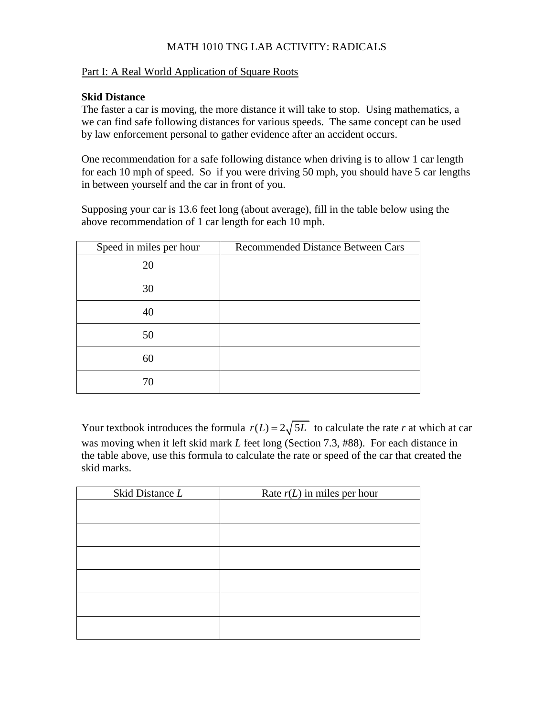## MATH 1010 TNG LAB ACTIVITY: RADICALS

#### Part I: A Real World Application of Square Roots

#### **Skid Distance**

The faster a car is moving, the more distance it will take to stop. Using mathematics, a we can find safe following distances for various speeds. The same concept can be used by law enforcement personal to gather evidence after an accident occurs.

One recommendation for a safe following distance when driving is to allow 1 car length for each 10 mph of speed. So if you were driving 50 mph, you should have 5 car lengths in between yourself and the car in front of you.

Supposing your car is 13.6 feet long (about average), fill in the table below using the above recommendation of 1 car length for each 10 mph.

| Speed in miles per hour | <b>Recommended Distance Between Cars</b> |
|-------------------------|------------------------------------------|
| 20                      |                                          |
| 30                      |                                          |
| 40                      |                                          |
| 50                      |                                          |
| 60                      |                                          |
| 70                      |                                          |

Your textbook introduces the formula  $r(L) = 2\sqrt{5L}$  to calculate the rate *r* at which at car was moving when it left skid mark *L* feet long (Section 7.3, #88). For each distance in the table above, use this formula to calculate the rate or speed of the car that created the skid marks.

| Skid Distance L | Rate $r(L)$ in miles per hour |
|-----------------|-------------------------------|
|                 |                               |
|                 |                               |
|                 |                               |
|                 |                               |
|                 |                               |
|                 |                               |
|                 |                               |
|                 |                               |
|                 |                               |
|                 |                               |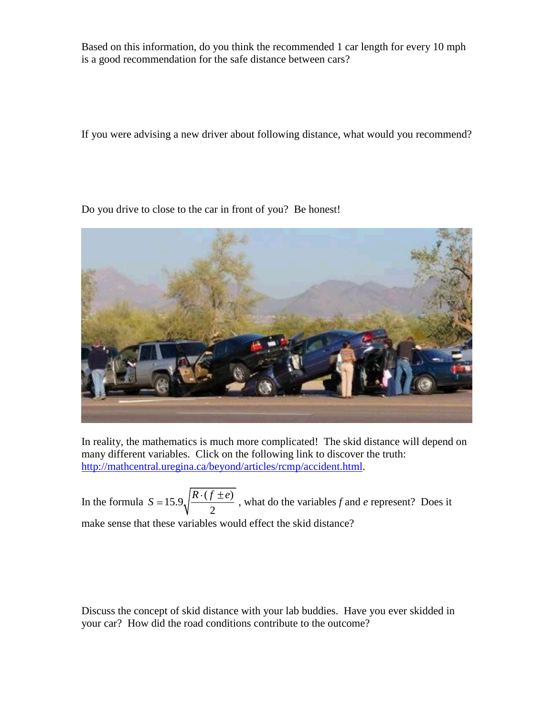Based on this information, do you think the recommended 1 car length for every 10 mph is a good recommendation for the safe distance between cars?

If you were advising a new driver about following distance, what would you recommend?

Do you drive to close to the car in front of you? Be honest!



In reality, the mathematics is much more complicated! The skid distance will depend on many different variables. Click on the following link to discover the truth: [http://mathcentral.uregina.ca/beyond/articles/rcmp/accident.html.](http://mathcentral.uregina.ca/beyond/articles/rcmp/accident.html)

In the formula  $S = 15.9 \sqrt{\frac{R \cdot (f \pm e)}{s}}$ 2  $S = 15.9 \sqrt{\frac{R \cdot (f \pm e)}{R}}$ , what do the variables *f* and *e* represent? Does it make sense that these variables would effect the skid distance?

Discuss the concept of skid distance with your lab buddies. Have you ever skidded in your car? How did the road conditions contribute to the outcome?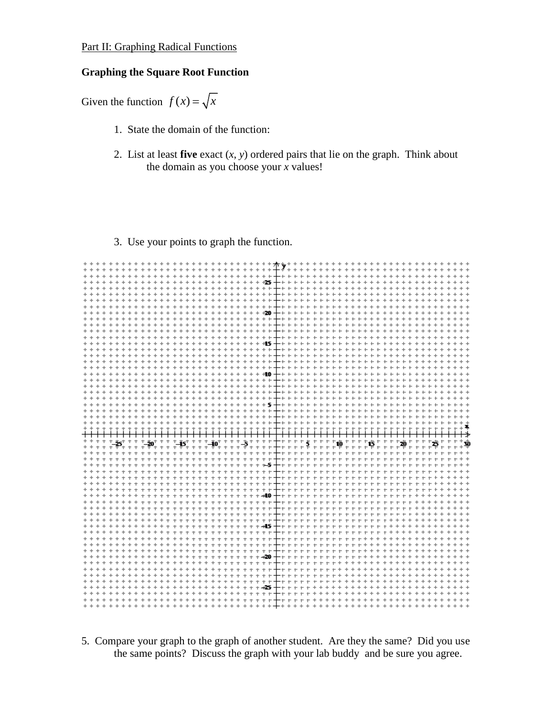## Part II: Graphing Radical Functions

#### **Graphing the Square Root Function**

Given the function  $f(x) = \sqrt{x}$ 

- 1. State the domain of the function:
- 2. List at least **five** exact (*x*, *y*) ordered pairs that lie on the graph. Think about the domain as you choose your *x* values!

### 3. Use your points to graph the function.

|       |         |             |                      |           |                         |       | + + + + + + +    |           |                               | $+$        | $+$                               |                                                                              |                      | $+ +$  | $+$              |            |                                   |                 |                                      |                          |              |                 |           |        | +++++++ <del>++</del> ++++++++++++ |           |               |                                                  |           |                        |                         |              |           |         |                                                   |                   |                  |                          |
|-------|---------|-------------|----------------------|-----------|-------------------------|-------|------------------|-----------|-------------------------------|------------|-----------------------------------|------------------------------------------------------------------------------|----------------------|--------|------------------|------------|-----------------------------------|-----------------|--------------------------------------|--------------------------|--------------|-----------------|-----------|--------|------------------------------------|-----------|---------------|--------------------------------------------------|-----------|------------------------|-------------------------|--------------|-----------|---------|---------------------------------------------------|-------------------|------------------|--------------------------|
|       |         |             |                      |           |                         |       |                  |           |                               |            |                                   |                                                                              | $^{+}$               |        | $+$<br>$+$       |            |                                   |                 | $+ + + + + + +$                      |                          | $+$          |                 | $+$       | $+$    | $+$                                | $+ +$     | $^{+}$<br>$+$ |                                                  |           |                        |                         |              |           |         |                                                   |                   |                  |                          |
|       |         |             |                      |           |                         |       | $+ + + + + + +$  |           |                               | $+$<br>$+$ | $+$                               | $+ + + +$                                                                    |                      | $+$    |                  |            |                                   |                 | + + + + + + + + <del>+</del> + +     |                          |              | $+ + + + +$     |           |        |                                    |           |               | + + + + + + + +                                  |           | $+$                    | $+$<br>$+$              | $+$          |           |         |                                                   |                   |                  |                          |
|       |         |             |                      |           |                         | $+$   | $+$<br>$+$       | $+ +$     |                               | $+$<br>$+$ | $+$                               | $+$<br>$+$                                                                   | $+$<br>$+$           |        | $+$              |            |                                   |                 | $+ + + + + + +$                      | + + +                    |              | $++$            |           | $+$    |                                    |           |               | + + + + + + +                                    | $^{+}$    | $+$                    | $\ddot{}$               |              |           |         |                                                   |                   |                  | $+ +$                    |
|       |         |             |                      |           |                         |       |                  |           | $^{+}$                        |            |                                   |                                                                              | $\ddot{}$            |        | $+$              | $+$        |                                   |                 | $+ + + + +$                          | $+ + +$                  |              |                 |           |        | $+$                                | $+$       | $^{+}$<br>$+$ |                                                  |           |                        |                         |              |           |         |                                                   |                   |                  |                          |
|       |         | $^{+}$      |                      |           |                         |       |                  |           |                               |            |                                   |                                                                              |                      |        |                  |            |                                   |                 |                                      |                          |              |                 |           |        |                                    |           |               | -----------------------                          |           |                        |                         |              | $+$       |         | $+ + + +$                                         | $+$               | $+$              | $+ +$                    |
|       | $+ + +$ | $^{+}$      |                      |           |                         |       |                  |           |                               |            |                                   |                                                                              |                      |        |                  |            |                                   |                 |                                      |                          |              |                 |           |        |                                    |           |               |                                                  |           |                        |                         |              | $+$       |         | $+ + + + +$                                       |                   |                  | $+ +$                    |
|       |         |             |                      |           |                         |       |                  |           |                               |            |                                   |                                                                              |                      |        |                  |            |                                   |                 | $+ + +$                              | $-+ +$                   |              |                 |           |        |                                    |           |               |                                                  |           |                        |                         |              |           |         |                                                   |                   |                  |                          |
|       |         |             |                      |           | $+ + +$                 | $+$   | $+$              | $+ +$     |                               | $+$        |                                   | $+ + + + + + +$                                                              |                      |        | $+$              |            |                                   | $+ + + + + +20$ |                                      |                          |              | $-+ + + + +$    | $+$       |        | $+$<br>$\ddot{}$                   | $+$       |               | $+ + + +$                                        | $\ddot{}$ | $+$                    |                         |              |           |         |                                                   |                   | $+$              | $+ +$                    |
|       |         | $\ddot{}$   |                      |           |                         |       |                  |           |                               |            |                                   |                                                                              |                      |        |                  |            |                                   |                 |                                      |                          | $+ + +$      |                 |           |        |                                    |           |               |                                                  |           |                        |                         |              |           |         |                                                   |                   |                  |                          |
|       |         | $+$         |                      |           |                         |       |                  |           |                               |            |                                   |                                                                              |                      |        |                  |            |                                   |                 |                                      |                          |              |                 |           |        |                                    |           |               | ------------------------                         |           |                        |                         |              |           |         | $+ + + +$                                         | $+$               |                  | $+ +$                    |
|       |         |             |                      |           |                         |       |                  |           |                               |            |                                   |                                                                              |                      |        |                  |            |                                   |                 |                                      |                          |              | -+ + + + + + +  |           |        |                                    |           |               | + + + + + + + + + + + + + + + + + + +            |           |                        |                         |              |           |         |                                                   |                   |                  |                          |
|       |         |             |                      |           |                         |       |                  |           | $+ + + + +$                   |            |                                   |                                                                              |                      |        |                  |            |                                   |                 | + + + + + + + + + + + + +            | $-+$                     |              |                 |           |        |                                    |           |               |                                                  |           |                        |                         |              |           |         |                                                   |                   |                  |                          |
|       |         |             |                      |           |                         |       |                  |           |                               |            |                                   | ++++++++++++++++++++++                                                       |                      |        |                  |            |                                   |                 |                                      | $- + +$                  |              |                 |           |        | + + + + + + + + + + +              |           |               |                                                  |           |                        | + + + + + + +           |              | $+$       |         | $+ + + +$                                         |                   |                  |                          |
| $+ +$ |         |             |                      |           |                         |       |                  |           |                               |            |                                   |                                                                              |                      |        |                  |            |                                   |                 |                                      | $-+ +$                   |              |                 |           |        |                                    |           |               |                                                  |           |                        |                         |              |           |         |                                                   |                   |                  |                          |
|       |         | $\ddot{}$   | $^{+}$               | $^{+}$    | $^{+}$                  | $+ +$ | $^{+}$<br>$^{+}$ |           | $+ + +$                       |            | $+ +$                             | + + + + + + + + + + + +                                                      |                      |        |                  |            |                                   |                 |                                      |                          |              | $+ + + + +$     |           | $+$    | $+$                                | $++$      | $+$           | $++$                                             |           | $\ddot{}$<br>$\ddot{}$ | $^{+}$<br>$^{+}$        | $^{+}$       | $^{+}$    | $^{+}$  | $^{+}$                                            | $^{+}$            | $+$              |                          |
|       |         |             |                      |           |                         |       |                  |           |                               |            |                                   |                                                                              |                      |        |                  |            |                                   |                 |                                      | $-+ +$                   |              |                 |           |        | + + + + + + + + + + +              |           |               | $++$                                             |           |                        | $+ + + + +$             |              | $^{+}$    |         | $+ + + +$                                         | $^{+}$            |                  | $+ +$                    |
|       |         |             |                      |           |                         |       |                  |           |                               |            |                                   | + + + + +                                                                    |                      |        |                  | $^{+}$     |                                   | $+$             | $+ +$                                |                          |              |                 |           |        |                                    |           |               |                                                  |           |                        |                         |              |           |         |                                                   |                   |                  |                          |
|       |         |             |                      |           |                         |       |                  |           | $+ + +$                       |            | $+ +$                             |                                                                              |                      |        |                  |            |                                   |                 |                                      | $-+ +$                   |              |                 | $+ + +$   |        | $+ +$                              | $+ +$     | $+$           |                                                  |           |                        |                         |              |           |         |                                                   |                   |                  | $+ +$                    |
|       |         |             |                      |           |                         |       |                  |           |                               |            |                                   |                                                                              |                      |        |                  |            |                                   | $+ +$           | $+ +$                                |                          |              |                 |           |        | + + + + + + + + +                  |           | $+$           | $++$ +                                           |           |                        | $+ +$                   |              |           |         |                                                   |                   |                  |                          |
|       |         |             |                      |           |                         |       |                  |           |                               |            |                                   | $+ + + + +$                                                                  |                      |        | $^{+}$<br>$^{+}$ | $^{+}$     |                                   |                 |                                      | $-+ +$                   |              |                 |           |        |                                    |           |               | + + + + + + + + + + + + + + + + + +              |           |                        |                         | $\ddot{}$    | $+$       | $++$    | $+$                                               |                   |                  |                          |
|       |         |             |                      |           |                         |       |                  |           |                               |            |                                   |                                                                              |                      |        |                  |            |                                   |                 |                                      |                          |              |                 |           |        |                                    |           |               |                                                  |           |                        |                         |              |           |         |                                                   |                   |                  |                          |
|       |         |             |                      |           |                         |       |                  |           |                               |            |                                   |                                                                              | $^{+}$               |        |                  | $^{+}$     | $+$                               | $+ +$           | $+5$                                 |                          |              |                 |           |        |                                    |           |               |                                                  |           |                        |                         |              |           |         |                                                   |                   |                  |                          |
|       |         |             |                      |           |                         | $+$   | $+$              |           |                               |            |                                   | + + + + + + + + + + + + + + + + + + +                                        |                      |        |                  |            |                                   |                 |                                      | $- + +$                  |              | $+$             | $+ + + +$ |        | $+ +$<br>$+$                       | $+$       | $+$<br>$+$    | $++$                                             |           |                        | $+$<br>$+$              |              |           |         | $+ +$                                             |                   |                  |                          |
|       |         | ÷           |                      |           |                         |       |                  |           |                               |            |                                   |                                                                              |                      |        |                  |            |                                   |                 |                                      |                          |              |                 |           |        |                                    |           |               | ++++++++++++++++++++                             |           |                        |                         | $+$          |           |         |                                                   | + + + + + + + +   |                  |                          |
|       |         |             |                      |           |                         |       |                  |           |                               |            |                                   |                                                                              |                      |        |                  |            |                                   |                 |                                      |                          |              |                 |           |        |                                    |           |               | ----------------------                           |           |                        |                         | $\leftarrow$ |           |         |                                                   | $+ + + + + + + +$ |                  |                          |
|       |         |             |                      |           |                         |       |                  |           |                               | ÷          |                                   |                                                                              |                      | $+ +$  |                  |            |                                   |                 | <b>++++++++</b>                      |                          |              |                 |           |        |                                    |           |               | ++++++++++++++++                                 |           |                        |                         |              |           |         |                                                   |                   | + + <del>4</del> |                          |
|       |         |             |                      |           |                         |       |                  |           |                               |            |                                   |                                                                              |                      |        |                  |            |                                   |                 |                                      |                          |              |                 |           |        |                                    |           |               |                                                  |           |                        |                         |              |           |         |                                                   |                   |                  |                          |
|       |         |             |                      |           |                         |       |                  |           |                               |            |                                   |                                                                              |                      |        |                  |            |                                   |                 |                                      |                          |              |                 |           |        |                                    |           |               |                                                  |           |                        |                         |              |           |         |                                                   |                   |                  |                          |
| $+ +$ |         | $^{+}$<br>÷ |                      |           |                         |       |                  | $\ddot{}$ | ÷                             |            |                                   |                                                                              |                      |        |                  |            |                                   |                 |                                      |                          |              |                 |           |        |                                    |           |               |                                                  |           |                        |                         |              |           |         |                                                   |                   |                  |                          |
|       |         | $\ddot{}$   | $\ddot{\phantom{1}}$ | †_≵5† †   | $+ + + + +$             |       | $+20^{+}$        | $+ + + +$ |                               |            |                                   |                                                                              |                      |        |                  |            |                                   |                 |                                      |                          |              |                 |           |        |                                    |           |               | ┾╍╒╒╒╒╒╒╒┇╒╒╒╒┇╒╒╒╒╬╓╒╒╒<br>┿╒╒╒╒╒╒╒╒╒╒╒╒╒╒╒╒╒╒╒ |           |                        |                         |              |           |         | $^{+}_{+}$ + $^{+}_{+}$ + $^{+}_{+}$ + $^{+}_{+}$ |                   |                  | $_{+}^{+}\mathbf{\Phi }$ |
|       |         |             |                      |           |                         |       |                  |           |                               |            |                                   |                                                                              |                      |        |                  |            |                                   |                 |                                      | + + +                    |              |                 |           |        |                                    |           |               | + + + + + + + + + + + + + + + + + + +            |           |                        |                         |              |           |         | $+ + + + + +$                                     |                   |                  | $+ +$                    |
|       |         | ÷           | $\ddot{\phantom{1}}$ |           |                         |       |                  |           |                               |            |                                   |                                                                              |                      |        |                  |            |                                   |                 |                                      |                          | $+ + +$      |                 |           |        |                                    |           |               | + + + + + + + + + + + + + + + + +                |           |                        |                         |              |           |         |                                                   |                   |                  |                          |
|       |         |             |                      |           |                         |       |                  |           |                               |            |                                   |                                                                              | $\ddot{\phantom{1}}$ |        |                  | $+ +$      | $\ddot{\phantom{1}}$              | $+ +$           | $\rightarrow$                        | $+ + +$                  |              |                 |           |        | <b>+++++++++++</b>                 |           |               |                                                  |           |                        |                         |              |           |         |                                                   |                   |                  |                          |
|       |         |             |                      |           |                         |       |                  |           |                               |            |                                   |                                                                              |                      |        |                  |            |                                   |                 |                                      | — + +                    |              |                 |           |        |                                    |           |               | + + + + + + + + + + + + + + + + +                |           |                        |                         |              |           |         |                                                   |                   |                  |                          |
|       |         |             |                      |           |                         |       |                  |           |                               |            |                                   | + + + + + + + + + + + + + + + + + + + +                                      |                      |        |                  |            |                                   |                 |                                      |                          | $+ +$        |                 |           |        |                                    |           |               | + + + + + + + + + + + + +                        |           |                        |                         |              |           |         |                                                   |                   |                  |                          |
|       |         |             |                      |           |                         |       |                  | $+ + + +$ |                               |            | $+ +$                             | + + + + + + + + + + + +                                                      |                      |        |                  |            |                                   |                 |                                      | $+ + +$                  |              |                 |           |        |                                    |           |               | + + + + + + + + + + + + +                        |           |                        |                         |              |           |         |                                                   |                   |                  |                          |
|       |         |             |                      |           |                         |       |                  |           |                               |            |                                   |                                                                              |                      |        |                  |            |                                   |                 |                                      |                          |              |                 |           |        |                                    |           |               |                                                  |           |                        |                         | $\pm$        | $\ddot{}$ |         |                                                   |                   |                  |                          |
|       |         |             |                      |           | $+ + + +$               |       |                  |           |                               |            |                                   |                                                                              |                      |        |                  |            |                                   |                 |                                      | $-++$                    |              |                 |           |        |                                    |           |               | + + + + + + + + + + + + +                        |           |                        |                         |              |           |         |                                                   |                   |                  |                          |
|       |         |             |                      |           |                         |       |                  |           |                               |            |                                   |                                                                              |                      |        |                  |            | $+ + + + +$                       |                 | $+ +$                                |                          |              |                 |           |        |                                    |           |               |                                                  |           |                        |                         |              |           |         |                                                   |                   |                  |                          |
|       |         |             |                      |           |                         |       |                  |           | $\ddot{\phantom{1}}$          | $+$        |                                   | + + + + + + + + + + + + + +                                                  |                      |        |                  |            |                                   |                 |                                      |                          | $+ + +$      |                 |           |        |                                    |           |               | + + + + + + + + + + + + +                        |           |                        |                         |              |           |         |                                                   |                   |                  |                          |
|       |         | $+$         |                      |           |                         | $+ +$ |                  |           | ÷                             |            |                                   | + + + + + + + + + + + + +                                                    |                      |        |                  |            |                                   |                 |                                      | $-+$                     |              |                 |           |        |                                    |           |               | + + + + + + + + + + + + +                        |           |                        |                         |              |           |         |                                                   |                   |                  | $+ +$                    |
| $+ +$ |         |             |                      |           | + + + + + + + + + +     |       |                  |           |                               | $+$        |                                   | + + + + + + + + + + + + + +                                                  |                      |        |                  |            |                                   |                 |                                      |                          |              |                 |           |        |                                    |           |               |                                                  |           |                        | $+ + +$                 |              | $^{+}$    | $+ + +$ | $^{+}$                                            |                   |                  |                          |
|       |         |             |                      |           |                         | $+ +$ |                  | $+$       | $\ddot{\phantom{1}}$          |            |                                   | +++++++++++ <b>45</b>                                                        |                      |        |                  |            |                                   |                 |                                      | $+ + +$<br>$+$           |              |                 |           |        |                                    |           |               | + + + + + + + + + + +                            |           | ÷<br>$+$               | $^{+}$<br>$+ + +$       | $^{+}$       |           |         | $+ + + + +$                                       |                   |                  |                          |
|       |         |             |                      |           |                         |       |                  |           | $\ddot{\phantom{1}}$<br>$+ +$ | ÷<br>$+$   | $\ddot{\phantom{1}}$<br>$\ddot{}$ | $\ddot{\phantom{1}}$                                                         |                      |        |                  |            |                                   |                 | + + + + + + + + + + +                |                          | $+ +$        |                 |           |        |                                    |           |               | + + + + + + + + + + + + +<br>$+ + + +$           |           |                        | $+$<br>$\ddot{}$        |              |           |         |                                                   |                   |                  |                          |
|       |         |             |                      |           |                         |       |                  |           |                               |            |                                   |                                                                              |                      |        |                  |            |                                   |                 | + + + + + + + + + +<br>$+ + + + + +$ | $\overline{\phantom{0}}$ |              | $+ + + + + + +$ |           |        |                                    |           |               |                                                  |           |                        |                         |              |           |         |                                                   |                   |                  |                          |
|       |         |             |                      |           | + + + + + + + + + + + + |       |                  |           |                               |            |                                   | $+$<br>$\ddot{\phantom{1}}$                                                  | $+ +$                | $+$    |                  |            |                                   | + + + + + + +   |                                      |                          | $+ +$        | $+ + + + + + +$ |           |        | $\pm$                              | $\ddot{}$ |               |                                                  |           |                        | + + + + + + + + + + + + |              |           |         |                                                   |                   |                  |                          |
|       | $+ +$   | $^{+}$      |                      |           | + + + + + + + + + + + + |       |                  |           |                               |            |                                   | $+$<br>$\ddot{\phantom{1}}$                                                  |                      |        |                  |            |                                   |                 | + + + + + + + + + + 20               |                          |              |                 |           |        |                                    |           |               |                                                  |           |                        | + + + + + + + + + + + + |              |           |         |                                                   |                   |                  | $+ +$                    |
|       |         |             |                      | $+ + + +$ |                         |       | $+ + + +$        | $+$       | $+$                           | $+$<br>$+$ | $+$                               | $^{+}$                                                                       | $+ +$                |        |                  | $+$        | $+$                               |                 | $+ + + +$                            | $+ + +$                  |              |                 |           |        |                                    |           |               |                                                  | $+ + +$   |                        | $+ + +$                 |              |           |         |                                                   |                   |                  |                          |
|       |         |             |                      |           |                         |       |                  |           |                               |            |                                   | $+ + + +$                                                                    |                      | $+$    | $+$              |            |                                   |                 | $+ + + + + + +$                      | + + +                    |              | $+ + + +$       |           |        |                                    | $+ +$     | $^{+}$        |                                                  |           |                        |                         |              |           |         |                                                   |                   |                  |                          |
|       |         |             | $+$                  | $+ + +$   |                         |       | $+ + + +$        |           |                               |            |                                   | + + + + + + + + +                                                            |                      |        | $+$              |            |                                   |                 | + + + + + +                          |                          |              | ++++++          |           |        | $^{+}$                             | $+$       |               | + + + + + +                                      |           |                        | $+ + + +$               |              | ÷         | $+$     | $^{+}$                                            |                   |                  |                          |
|       |         |             |                      |           | $+ +$                   |       | $+ + + +$        | $+$       | $+ +$                         |            | $+ +$                             | $+ + + +$                                                                    |                      | $\div$ | $+$<br>÷         | ÷          | $\ddot{\phantom{1}}$              |                 | $+ + + + +$                          | $+ + +$                  |              | $+ + +$         |           |        | $+$                                | $+$       |               | + + + + + +                                      |           | $+$                    | $+$<br>$+$              | $+$          |           | $+$     | $+$                                               |                   |                  |                          |
|       |         |             |                      |           |                         |       |                  |           |                               |            |                                   | +++++++++++++++++++++ <mark>25</mark>                                        |                      |        |                  |            |                                   |                 |                                      |                          |              | -+ + + + + +    |           |        |                                    |           |               | + + + + + + + + + + + + + +                      |           |                        |                         |              |           |         |                                                   |                   |                  |                          |
|       |         |             |                      |           | + + + + + + + + + + +   |       |                  |           |                               |            |                                   | $+ + + + + +$                                                                |                      |        | $^{+}$<br>$^{+}$ | $+$        | $\ddot{\phantom{1}}$<br>$\ddot{}$ |                 | $+ + +$                              | $-+$                     |              |                 | $^{+}$    | $^{+}$ |                                    |           |               | + + + + + + + + + + + + + +                      |           |                        |                         |              |           | $+ +$   |                                                   |                   |                  |                          |
|       | $+ + +$ |             |                      |           |                         |       |                  |           |                               |            |                                   | + + + + + + + + + + + + + + + + +<br>+ + + + + + + + + + + + + + + + + + + + |                      |        | $+$<br>$+$       | $+$<br>$+$ |                                   | $+$             | $\pm$<br>$+ + \cdot$                 | $\leftarrow$             | $\leftarrow$ |                 |           |        |                                    |           |               | ++++++++++++++++++++++++                         |           |                        |                         |              |           |         |                                                   |                   |                  |                          |

5. Compare your graph to the graph of another student. Are they the same? Did you use the same points? Discuss the graph with your lab buddy and be sure you agree.